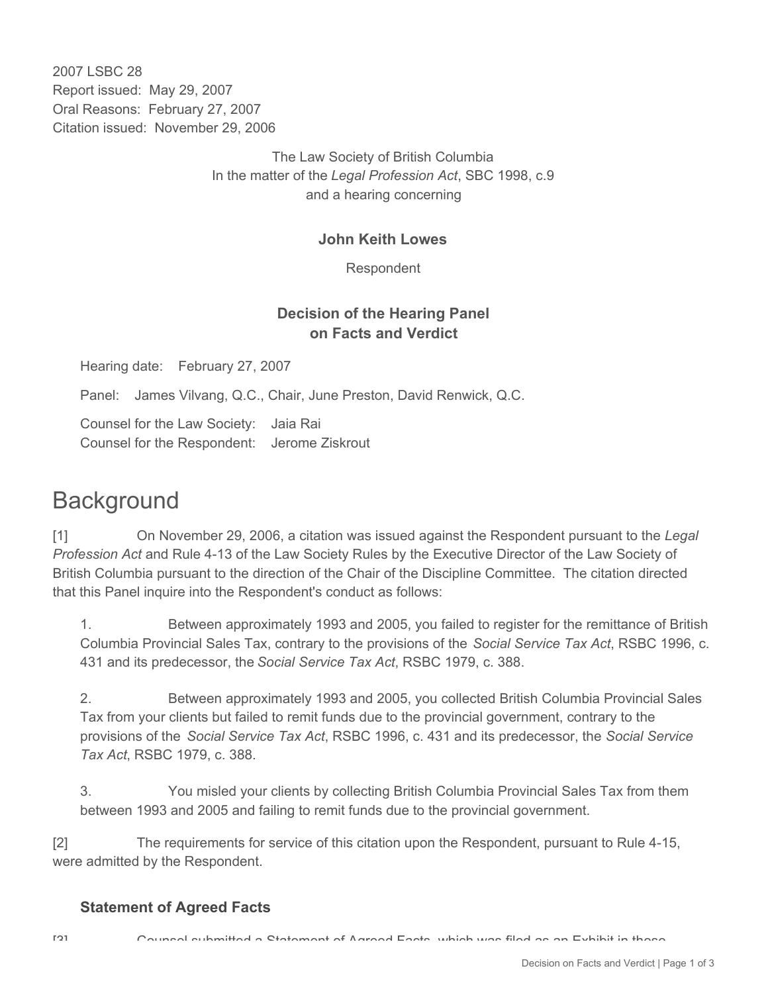2007 LSBC 28 Report issued: May 29, 2007 Oral Reasons: February 27, 2007 Citation issued: November 29, 2006

> The Law Society of British Columbia In the matter of the *Legal Profession Act*, SBC 1998, c.9 and a hearing concerning

## **John Keith Lowes**

Respondent

## **Decision of the Hearing Panel on Facts and Verdict**

Hearing date: February 27, 2007

Panel: James Vilvang, Q.C., Chair, June Preston, David Renwick, Q.C.

Counsel for the Law Society: Jaia Rai Counsel for the Respondent: Jerome Ziskrout

## **Background**

[1] On November 29, 2006, a citation was issued against the Respondent pursuant to the *Legal Profession Act* and Rule 4-13 of the Law Society Rules by the Executive Director of the Law Society of British Columbia pursuant to the direction of the Chair of the Discipline Committee. The citation directed that this Panel inquire into the Respondent's conduct as follows:

1. Between approximately 1993 and 2005, you failed to register for the remittance of British Columbia Provincial Sales Tax, contrary to the provisions of the *Social Service Tax Act*, RSBC 1996, c. 431 and its predecessor, the *Social Service Tax Act*, RSBC 1979, c. 388.

2. Between approximately 1993 and 2005, you collected British Columbia Provincial Sales Tax from your clients but failed to remit funds due to the provincial government, contrary to the provisions of the *Social Service Tax Act*, RSBC 1996, c. 431 and its predecessor, the *Social Service Tax Act*, RSBC 1979, c. 388.

3. You misled your clients by collecting British Columbia Provincial Sales Tax from them between 1993 and 2005 and failing to remit funds due to the provincial government.

[2] The requirements for service of this citation upon the Respondent, pursuant to Rule 4-15, were admitted by the Respondent.

## **Statement of Agreed Facts**

[3] Counsel submitted a Statement of Agreed Facts, which was filed as an Exhibit in these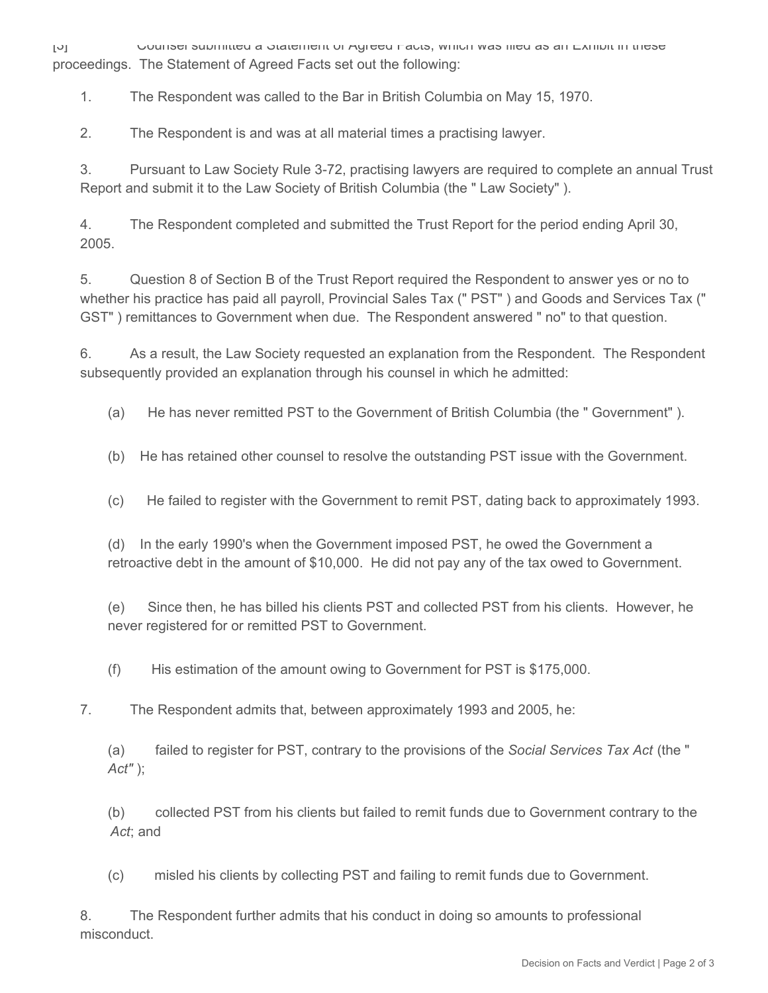[3] Counsel submitted a Statement of Agreed Facts, which was filed as an Exhibit in these proceedings. The Statement of Agreed Facts set out the following:

1. The Respondent was called to the Bar in British Columbia on May 15, 1970.

2. The Respondent is and was at all material times a practising lawyer.

3. Pursuant to Law Society Rule 3-72, practising lawyers are required to complete an annual Trust Report and submit it to the Law Society of British Columbia (the " Law Society" ).

4. The Respondent completed and submitted the Trust Report for the period ending April 30, 2005.

5. Question 8 of Section B of the Trust Report required the Respondent to answer yes or no to whether his practice has paid all payroll, Provincial Sales Tax (" PST" ) and Goods and Services Tax (" GST" ) remittances to Government when due. The Respondent answered " no" to that question.

6. As a result, the Law Society requested an explanation from the Respondent. The Respondent subsequently provided an explanation through his counsel in which he admitted:

(a) He has never remitted PST to the Government of British Columbia (the " Government" ).

(b) He has retained other counsel to resolve the outstanding PST issue with the Government.

(c) He failed to register with the Government to remit PST, dating back to approximately 1993.

(d) In the early 1990's when the Government imposed PST, he owed the Government a retroactive debt in the amount of \$10,000. He did not pay any of the tax owed to Government.

(e) Since then, he has billed his clients PST and collected PST from his clients. However, he never registered for or remitted PST to Government.

(f) His estimation of the amount owing to Government for PST is \$175,000.

7. The Respondent admits that, between approximately 1993 and 2005, he:

(a) failed to register for PST, contrary to the provisions of the *Social Services Tax Act* (the " *Act"* );

(b) collected PST from his clients but failed to remit funds due to Government contrary to the *Act*; and

(c) misled his clients by collecting PST and failing to remit funds due to Government.

8. The Respondent further admits that his conduct in doing so amounts to professional misconduct.